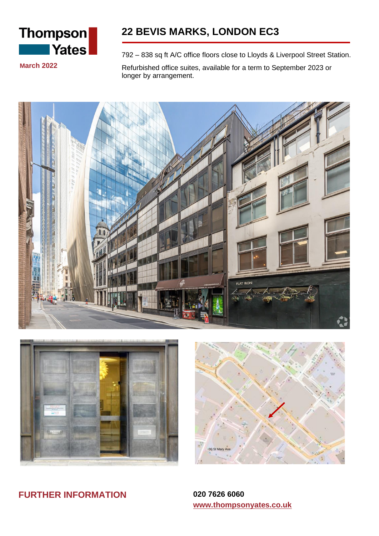

# **22 BEVIS MARKS, LONDON EC3**

**March 2022**

792 – 838 sq ft A/C office floors close to Lloyds & Liverpool Street Station.

Refurbished office suites, available for a term to September 2023 or longer by arrangement.







**FURTHER INFORMATION 020 7626 6060**

**www.thompsonyates.co.uk**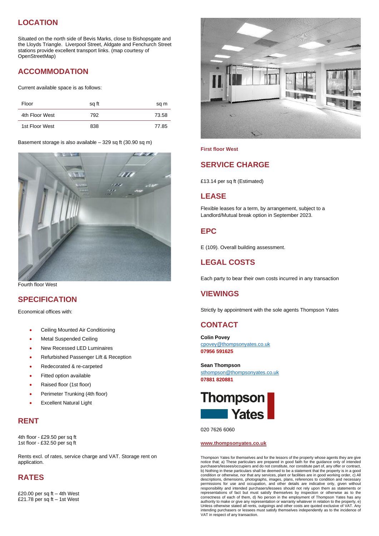## **LOCATION**

Situated on the north side of Bevis Marks, close to Bishopsgate and the Lloyds Triangle. Liverpool Street, Aldgate and Fenchurch Street stations provide excellent transport links. (map courtesy of OpenStreetMap)

### **ACCOMMODATION**

Current available space is as follows:

| Floor          | sg ft | sq m  |
|----------------|-------|-------|
| 4th Floor West | 792   | 73.58 |
| 1st Floor West | 838   | 77.85 |

Basement storage is also available – 329 sq ft (30.90 sq m)



Fourth floor West

#### **SPECIFICATION**

Economical offices with:

- Ceiling Mounted Air Conditioning
- Metal Suspended Ceiling
- New Recessed LED Luminaires
- Refurbished Passenger Lift & Reception
- Redecorated & re-carpeted
- Fitted option available
- Raised floor (1st floor)
- Perimeter Trunking (4th floor)
- **Excellent Natural Light**

#### **RENT**

4th floor - £29.50 per sq ft 1st floor - £32.50 per sq ft

Rents excl. of rates, service charge and VAT. Storage rent on application.

#### **RATES**

£20.00 per sq ft – 4th West £21.78 per sq ft – 1st West



#### **First floor West**

#### **SERVICE CHARGE**

£13.14 per sq ft (Estimated)

#### **LEASE**

Flexible leases for a term, by arrangement, subject to a Landlord/Mutual break option in September 2023.

#### **EPC**

E (109). Overall building assessment.

#### **LEGAL COSTS**

Each party to bear their own costs incurred in any transaction

#### **VIEWINGS**

Strictly by appointment with the sole agents Thompson Yates

#### **CONTACT**

**Colin Povey** [cpovey@thompsonyates.co.uk](mailto:cpovey@thompsonyates.co.uk) **07956 591625**

**Sean Thompson** [sthompson@thompsonyates.co.uk](mailto:sthompson@thompsonyates.co.uk) **07881 820881**



020 7626 6060

#### **www.thompsonyates.co.uk**

Thompson Yates for themselves and for the lessors of the property whose agents they are give notice that; a) These particulars are prepared in good faith for the guidance only of intendec<br>purchasers/lessees/occupiers and do not constitute, nor constitute part of, any offer or contract;<br>b) Nothing in these particul condition or otherwise, nor that any services, plant or facilities are in good working order, c) All descriptions, dimensions, photographs, images, plans, references to condition and necessary<br>permissions for use and occupation, and other details are indicative only, given without<br>responsibility and intended purchasers/le authority to make or give any representation or warranty whatever in relation to the property, e) Unless otherwise stated all rents, outgoings and other costs are quoted exclusive of VAT. Any intending purchasers or lessees must satisfy themselves independently as to the incidence of VAT in respect of any transaction.